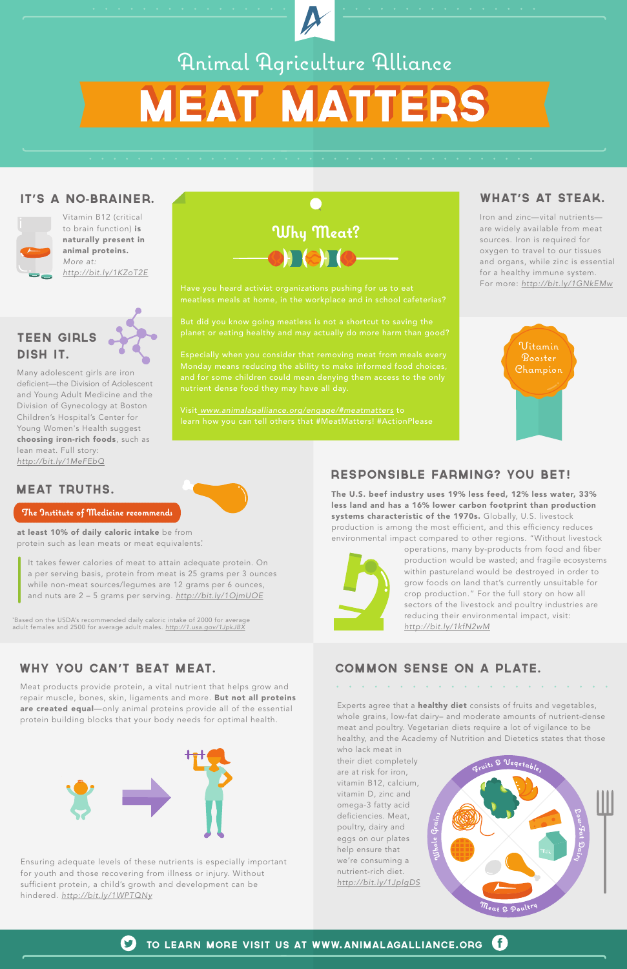



63 TO LEARN MORE VISIT US AT WWW. ANIMALAGALLIANCE.ORG

## Animal Agriculture Alliance **MEAT MATTERS**

Vitamin B12 (critical to brain function) is naturally present in animal proteins. *More at: http://bit.ly/1KZoT2E*

#### IT'S A NO-BRAINER.





Meat products provide protein, a vital nutrient that helps grow and repair muscle, bones, skin, ligaments and more. But not all proteins are created equal—only animal proteins provide all of the essential protein building blocks that your body needs for optimal health.

#### WHY YOU CAN'T BEAT MEAT.

The U.S. beef industry uses 19% less feed, 12% less water, 33% less land and has a 16% lower carbon footprint than production systems characteristic of the 1970s. Globally, U.S. livestock production is among the most efficient, and this efficiency reduces environmental impact compared to other regions. "Without livestock



operations, many by-products from food and fiber production would be wasted; and fragile ecosystems within pastureland would be destroyed in order to grow foods on land that's currently unsuitable for crop production." For the full story on how all sectors of the livestock and poultry industries are reducing their environmental impact, visit: *http://bit.ly/1kfN2wM*

Experts agree that a **healthy diet** consists of fruits and vegetables, whole grains, low-fat dairy– and moderate amounts of nutrient-dense meat and poultry. Vegetarian diets require a lot of vigilance to be healthy, and the Academy of Nutrition and Dietetics states that those who lack meat in



#### RESPONSIBLE FARMING? YOU BET!

Ensuring adequate levels of these nutrients is especially important for youth and those recovering from illness or injury. Without sufficient protein, a child's growth and development can be hindered. *http://bit.ly/1WPTQNy*

### **Why Meat?** HOTO

Many adolescent girls are iron deficient—the Division of Adolescent and Young Adult Medicine and the Division of Gynecology at Boston Children's Hospital's Center for Young Women's Health suggest choosing iron-rich foods, such as lean meat. Full story: *http://bit.ly/1MeFEbQ*

#### TEEN GIRLS DISH IT.

#### MEAT TRUTHS.

#### **The Institute of Medicine recommends**

at least 10% of daily caloric intake be from protein such as lean meats or meat equivalents:

#### COMMON SENSE ON A PLATE.



their diet completely are at risk for iron, vitamin B12, calcium, vitamin D, zinc and omega-3 fatty acid deficiencies. Meat, poultry, dairy and eggs on our plates help ensure that we're consuming a nutrient-rich diet. *http://bit.ly/1JplgDS* Iron and zinc—vital nutrients are widely available from meat sources. Iron is required for oxygen to travel to our tissues and organs, while zinc is essential for a healthy immune system. For more: *http://bit.ly/1GNkEMw*

#### WHAT'S AT STEAK.

Have you heard activist organizations pushing for us to eat

But did you know going meatless is not a shortcut to saving the planet or eating healthy and may actually do more harm than good?

Visit *www.animalagalliance.org/engage/#meatmatters* to learn how you can tell others that #MeatMatters! #ActionPlease

It takes fewer calories of meat to attain adequate protein. On a per serving basis, protein from meat is 25 grams per 3 ounces while non-meat sources/legumes are 12 grams per 6 ounces, and nuts are 2 – 5 grams per serving. *http://bit.ly/1OjmUOE*

\* Based on the USDA's recommended daily caloric intake of 2000 for average adult females and 2500 for average adult males. *http://1.usa.gov/1JpkJBX*